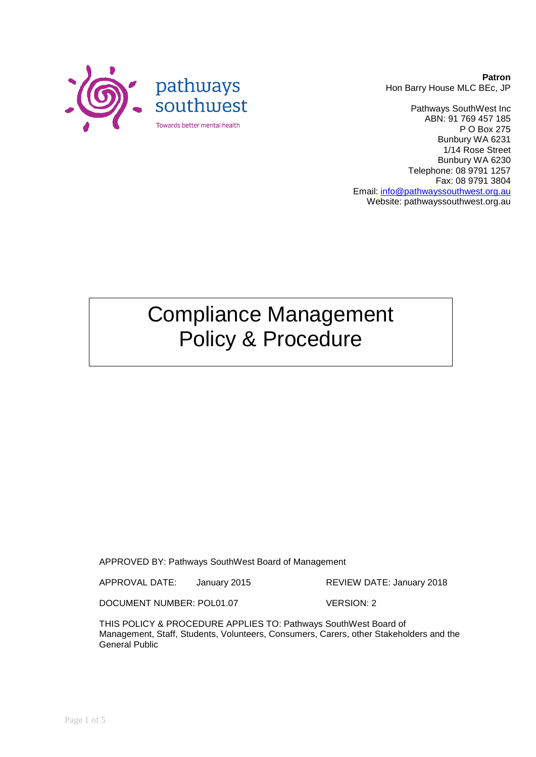

**Patron** Hon Barry House MLC BEc, JP

Pathways SouthWest Inc ABN: 91 769 457 185 P O Box 275 Bunbury WA 6231 1/14 Rose Street Bunbury WA 6230 Telephone: 08 9791 1257 Fax: 08 9791 3804 Email: [info@pathwayssouthwest.org.au](mailto:info@pathwayssouthwest.org.au) Website: pathwayssouthwest.org.au

# Compliance Management Policy & Procedure

APPROVED BY: Pathways SouthWest Board of Management

APPROVAL DATE: January 2015 REVIEW DATE: January 2018

DOCUMENT NUMBER: POL01.07 VERSION: 2

THIS POLICY & PROCEDURE APPLIES TO: Pathways SouthWest Board of Management, Staff, Students, Volunteers, Consumers, Carers, other Stakeholders and the General Public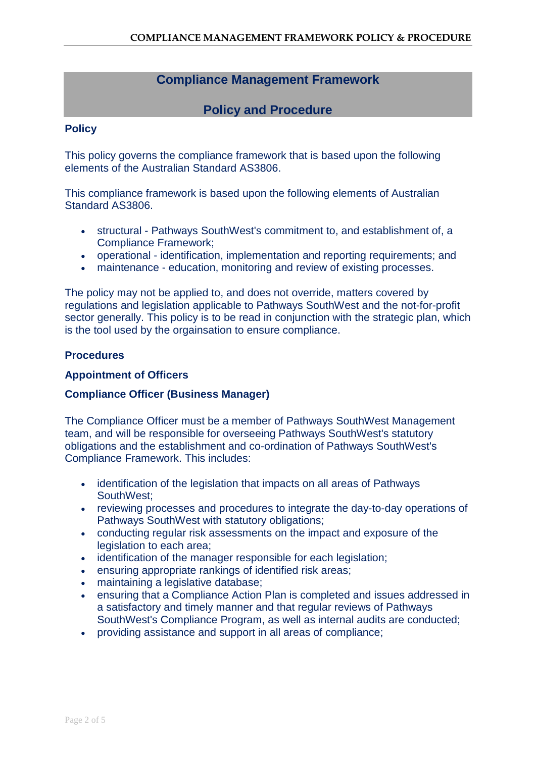# **Compliance Management Framework**

# **Policy and Procedure**

## **Policy**

This policy governs the compliance framework that is based upon the following elements of the Australian Standard AS3806.

This compliance framework is based upon the following elements of Australian Standard AS3806.

- structural Pathways SouthWest's commitment to, and establishment of, a Compliance Framework;
- operational identification, implementation and reporting requirements; and
- maintenance education, monitoring and review of existing processes.

The policy may not be applied to, and does not override, matters covered by regulations and legislation applicable to Pathways SouthWest and the not-for-profit sector generally. This policy is to be read in conjunction with the strategic plan, which is the tool used by the orgainsation to ensure compliance.

### **Procedures**

### **Appointment of Officers**

## **Compliance Officer (Business Manager)**

The Compliance Officer must be a member of Pathways SouthWest Management team, and will be responsible for overseeing Pathways SouthWest's statutory obligations and the establishment and co-ordination of Pathways SouthWest's Compliance Framework. This includes:

- identification of the legislation that impacts on all areas of Pathways SouthWest;
- reviewing processes and procedures to integrate the day-to-day operations of Pathways SouthWest with statutory obligations;
- conducting regular risk assessments on the impact and exposure of the legislation to each area;
- identification of the manager responsible for each legislation;
- ensuring appropriate rankings of identified risk areas;
- maintaining a legislative database;
- ensuring that a Compliance Action Plan is completed and issues addressed in a satisfactory and timely manner and that regular reviews of Pathways SouthWest's Compliance Program, as well as internal audits are conducted;
- providing assistance and support in all areas of compliance;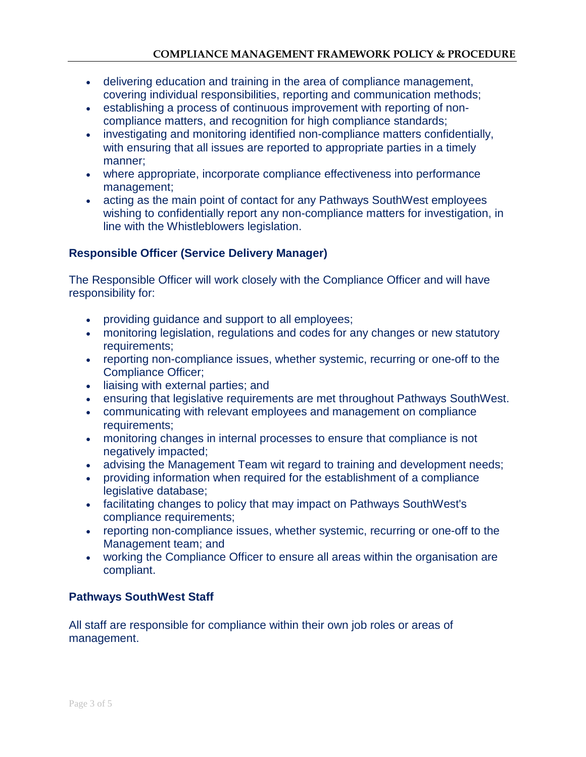- delivering education and training in the area of compliance management, covering individual responsibilities, reporting and communication methods;
- establishing a process of continuous improvement with reporting of noncompliance matters, and recognition for high compliance standards;
- investigating and monitoring identified non-compliance matters confidentially, with ensuring that all issues are reported to appropriate parties in a timely manner;
- where appropriate, incorporate compliance effectiveness into performance management;
- acting as the main point of contact for any Pathways SouthWest employees wishing to confidentially report any non-compliance matters for investigation, in line with the Whistleblowers legislation.

## **Responsible Officer (Service Delivery Manager)**

The Responsible Officer will work closely with the Compliance Officer and will have responsibility for:

- providing guidance and support to all employees;
- monitoring legislation, regulations and codes for any changes or new statutory requirements;
- reporting non-compliance issues, whether systemic, recurring or one-off to the Compliance Officer;
- liaising with external parties; and
- ensuring that legislative requirements are met throughout Pathways SouthWest.
- communicating with relevant employees and management on compliance requirements;
- monitoring changes in internal processes to ensure that compliance is not negatively impacted;
- advising the Management Team wit regard to training and development needs;
- providing information when required for the establishment of a compliance legislative database;
- facilitating changes to policy that may impact on Pathways SouthWest's compliance requirements;
- reporting non-compliance issues, whether systemic, recurring or one-off to the Management team; and
- working the Compliance Officer to ensure all areas within the organisation are compliant.

## **Pathways SouthWest Staff**

All staff are responsible for compliance within their own job roles or areas of management.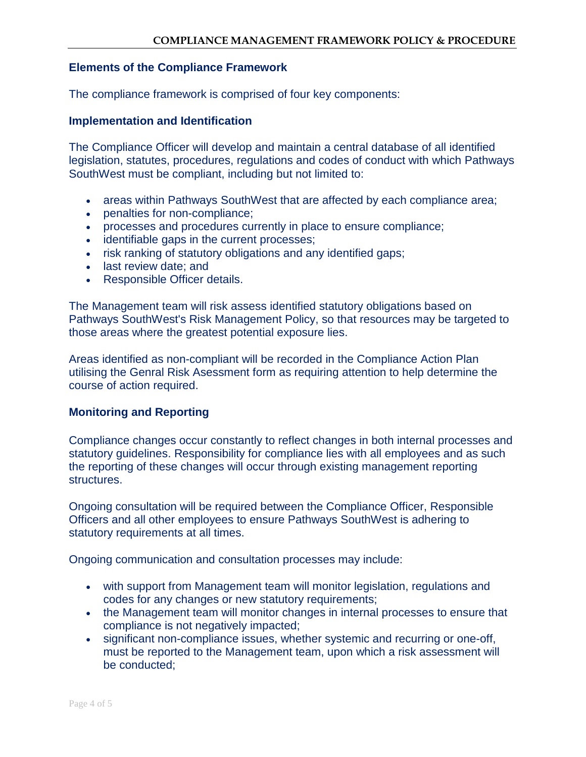#### **Elements of the Compliance Framework**

The compliance framework is comprised of four key components:

#### **Implementation and Identification**

The Compliance Officer will develop and maintain a central database of all identified legislation, statutes, procedures, regulations and codes of conduct with which Pathways SouthWest must be compliant, including but not limited to:

- areas within Pathways SouthWest that are affected by each compliance area;
- penalties for non-compliance;
- processes and procedures currently in place to ensure compliance;
- identifiable gaps in the current processes;
- risk ranking of statutory obligations and any identified gaps;
- last review date; and
- Responsible Officer details.

The Management team will risk assess identified statutory obligations based on Pathways SouthWest's Risk Management Policy, so that resources may be targeted to those areas where the greatest potential exposure lies.

Areas identified as non-compliant will be recorded in the Compliance Action Plan utilising the Genral Risk Asessment form as requiring attention to help determine the course of action required.

#### **Monitoring and Reporting**

Compliance changes occur constantly to reflect changes in both internal processes and statutory guidelines. Responsibility for compliance lies with all employees and as such the reporting of these changes will occur through existing management reporting structures.

Ongoing consultation will be required between the Compliance Officer, Responsible Officers and all other employees to ensure Pathways SouthWest is adhering to statutory requirements at all times.

Ongoing communication and consultation processes may include:

- with support from Management team will monitor legislation, regulations and codes for any changes or new statutory requirements;
- the Management team will monitor changes in internal processes to ensure that compliance is not negatively impacted;
- significant non-compliance issues, whether systemic and recurring or one-off, must be reported to the Management team, upon which a risk assessment will be conducted;